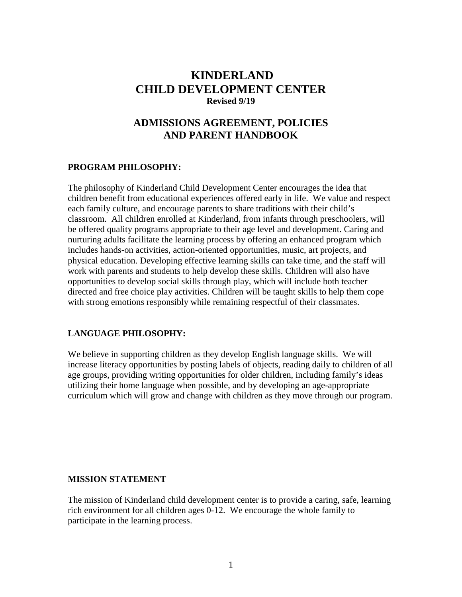# **KINDERLAND CHILD DEVELOPMENT CENTER Revised 9/19**

# **ADMISSIONS AGREEMENT, POLICIES AND PARENT HANDBOOK**

### **PROGRAM PHILOSOPHY:**

The philosophy of Kinderland Child Development Center encourages the idea that children benefit from educational experiences offered early in life. We value and respect each family culture, and encourage parents to share traditions with their child's classroom. All children enrolled at Kinderland, from infants through preschoolers, will be offered quality programs appropriate to their age level and development. Caring and nurturing adults facilitate the learning process by offering an enhanced program which includes hands-on activities, action-oriented opportunities, music, art projects, and physical education. Developing effective learning skills can take time, and the staff will work with parents and students to help develop these skills. Children will also have opportunities to develop social skills through play, which will include both teacher directed and free choice play activities. Children will be taught skills to help them cope with strong emotions responsibly while remaining respectful of their classmates.

# **LANGUAGE PHILOSOPHY:**

We believe in supporting children as they develop English language skills. We will increase literacy opportunities by posting labels of objects, reading daily to children of all age groups, providing writing opportunities for older children, including family's ideas utilizing their home language when possible, and by developing an age-appropriate curriculum which will grow and change with children as they move through our program.

### **MISSION STATEMENT**

The mission of Kinderland child development center is to provide a caring, safe, learning rich environment for all children ages 0-12. We encourage the whole family to participate in the learning process.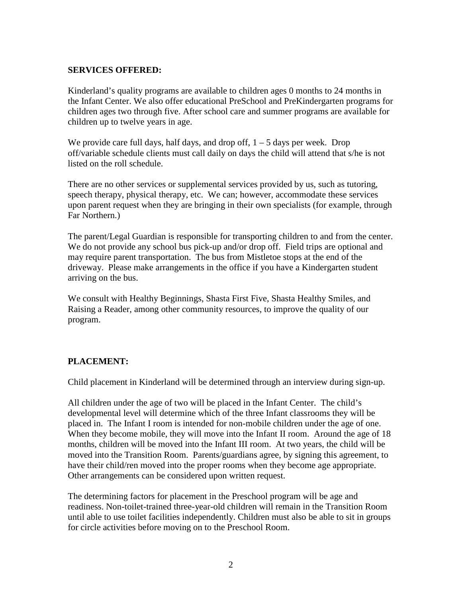### **SERVICES OFFERED:**

Kinderland's quality programs are available to children ages 0 months to 24 months in the Infant Center. We also offer educational PreSchool and PreKindergarten programs for children ages two through five. After school care and summer programs are available for children up to twelve years in age.

We provide care full days, half days, and drop off,  $1 - 5$  days per week. Drop off/variable schedule clients must call daily on days the child will attend that s/he is not listed on the roll schedule.

There are no other services or supplemental services provided by us, such as tutoring, speech therapy, physical therapy, etc. We can; however, accommodate these services upon parent request when they are bringing in their own specialists (for example, through Far Northern.)

The parent/Legal Guardian is responsible for transporting children to and from the center. We do not provide any school bus pick-up and/or drop off. Field trips are optional and may require parent transportation. The bus from Mistletoe stops at the end of the driveway. Please make arrangements in the office if you have a Kindergarten student arriving on the bus.

We consult with Healthy Beginnings, Shasta First Five, Shasta Healthy Smiles, and Raising a Reader, among other community resources, to improve the quality of our program.

# **PLACEMENT:**

Child placement in Kinderland will be determined through an interview during sign-up.

All children under the age of two will be placed in the Infant Center. The child's developmental level will determine which of the three Infant classrooms they will be placed in. The Infant I room is intended for non-mobile children under the age of one. When they become mobile, they will move into the Infant II room. Around the age of 18 months, children will be moved into the Infant III room. At two years, the child will be moved into the Transition Room. Parents/guardians agree, by signing this agreement, to have their child/ren moved into the proper rooms when they become age appropriate. Other arrangements can be considered upon written request.

The determining factors for placement in the Preschool program will be age and readiness. Non-toilet-trained three-year-old children will remain in the Transition Room until able to use toilet facilities independently. Children must also be able to sit in groups for circle activities before moving on to the Preschool Room.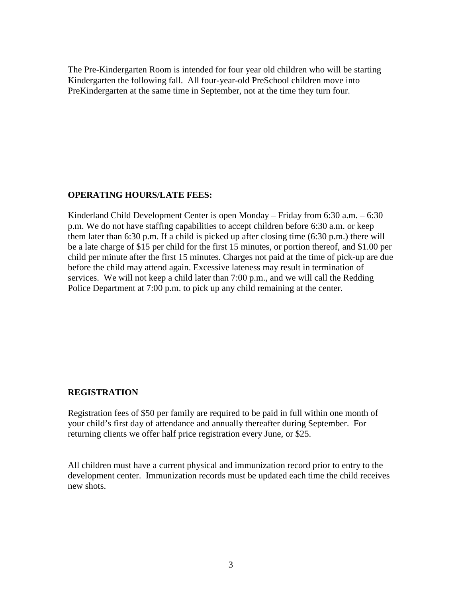The Pre-Kindergarten Room is intended for four year old children who will be starting Kindergarten the following fall. All four-year-old PreSchool children move into PreKindergarten at the same time in September, not at the time they turn four.

### **OPERATING HOURS/LATE FEES:**

Kinderland Child Development Center is open Monday – Friday from 6:30 a.m. – 6:30 p.m. We do not have staffing capabilities to accept children before 6:30 a.m. or keep them later than 6:30 p.m. If a child is picked up after closing time (6:30 p.m.) there will be a late charge of \$15 per child for the first 15 minutes, or portion thereof, and \$1.00 per child per minute after the first 15 minutes. Charges not paid at the time of pick-up are due before the child may attend again. Excessive lateness may result in termination of services. We will not keep a child later than 7:00 p.m., and we will call the Redding Police Department at 7:00 p.m. to pick up any child remaining at the center.

### **REGISTRATION**

Registration fees of \$50 per family are required to be paid in full within one month of your child's first day of attendance and annually thereafter during September. For returning clients we offer half price registration every June, or \$25.

All children must have a current physical and immunization record prior to entry to the development center. Immunization records must be updated each time the child receives new shots.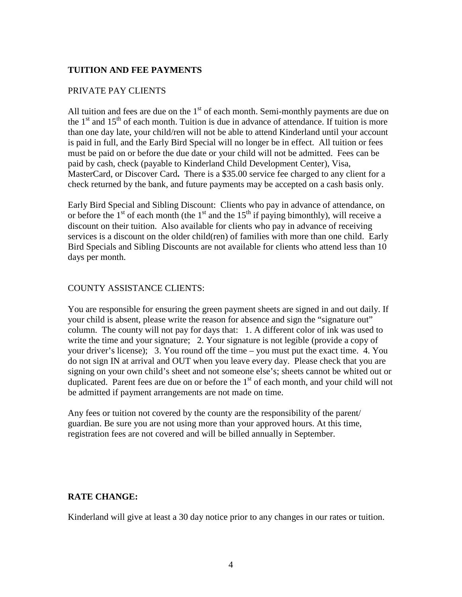### **TUITION AND FEE PAYMENTS**

### PRIVATE PAY CLIENTS

All tuition and fees are due on the  $1<sup>st</sup>$  of each month. Semi-monthly payments are due on the  $1<sup>st</sup>$  and  $15<sup>th</sup>$  of each month. Tuition is due in advance of attendance. If tuition is more than one day late, your child/ren will not be able to attend Kinderland until your account is paid in full, and the Early Bird Special will no longer be in effect. All tuition or fees must be paid on or before the due date or your child will not be admitted. Fees can be paid by cash, check (payable to Kinderland Child Development Center), Visa, MasterCard, or Discover Card**.** There is a \$35.00 service fee charged to any client for a check returned by the bank, and future payments may be accepted on a cash basis only.

Early Bird Special and Sibling Discount: Clients who pay in advance of attendance, on or before the  $1<sup>st</sup>$  of each month (the  $1<sup>st</sup>$  and the  $15<sup>th</sup>$  if paying bimonthly), will receive a discount on their tuition. Also available for clients who pay in advance of receiving services is a discount on the older child(ren) of families with more than one child. Early Bird Specials and Sibling Discounts are not available for clients who attend less than 10 days per month.

### COUNTY ASSISTANCE CLIENTS:

You are responsible for ensuring the green payment sheets are signed in and out daily. If your child is absent, please write the reason for absence and sign the "signature out" column. The county will not pay for days that: 1. A different color of ink was used to write the time and your signature; 2. Your signature is not legible (provide a copy of your driver's license); 3. You round off the time – you must put the exact time. 4. You do not sign IN at arrival and OUT when you leave every day. Please check that you are signing on your own child's sheet and not someone else's; sheets cannot be whited out or duplicated. Parent fees are due on or before the  $1<sup>st</sup>$  of each month, and your child will not be admitted if payment arrangements are not made on time.

Any fees or tuition not covered by the county are the responsibility of the parent/ guardian. Be sure you are not using more than your approved hours. At this time, registration fees are not covered and will be billed annually in September.

### **RATE CHANGE:**

Kinderland will give at least a 30 day notice prior to any changes in our rates or tuition.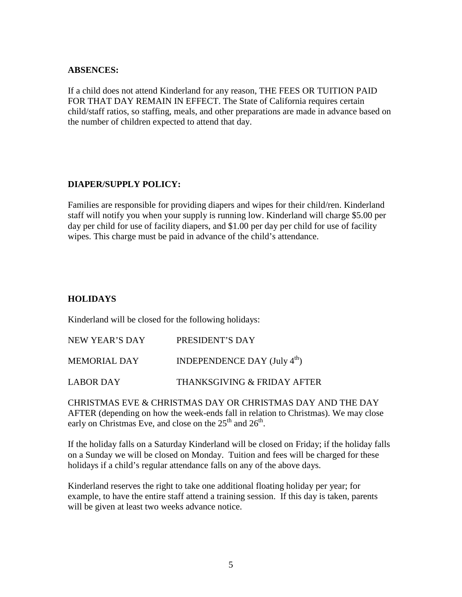### **ABSENCES:**

If a child does not attend Kinderland for any reason, THE FEES OR TUITION PAID FOR THAT DAY REMAIN IN EFFECT. The State of California requires certain child/staff ratios, so staffing, meals, and other preparations are made in advance based on the number of children expected to attend that day.

### **DIAPER/SUPPLY POLICY:**

Families are responsible for providing diapers and wipes for their child/ren. Kinderland staff will notify you when your supply is running low. Kinderland will charge \$5.00 per day per child for use of facility diapers, and \$1.00 per day per child for use of facility wipes. This charge must be paid in advance of the child's attendance.

# **HOLIDAYS**

Kinderland will be closed for the following holidays:

| NEW YEAR'S DAY | PRESIDENT'S DAY                                 |
|----------------|-------------------------------------------------|
| MEMORIAL DAY   | INDEPENDENCE DAY $(\text{July } 4^{\text{th}})$ |
| LABOR DAY      | THANKSGIVING & FRIDAY AFTER                     |

CHRISTMAS EVE & CHRISTMAS DAY OR CHRISTMAS DAY AND THE DAY AFTER (depending on how the week-ends fall in relation to Christmas). We may close early on Christmas Eve, and close on the  $25<sup>th</sup>$  and  $26<sup>th</sup>$ .

If the holiday falls on a Saturday Kinderland will be closed on Friday; if the holiday falls on a Sunday we will be closed on Monday. Tuition and fees will be charged for these holidays if a child's regular attendance falls on any of the above days.

Kinderland reserves the right to take one additional floating holiday per year; for example, to have the entire staff attend a training session. If this day is taken, parents will be given at least two weeks advance notice.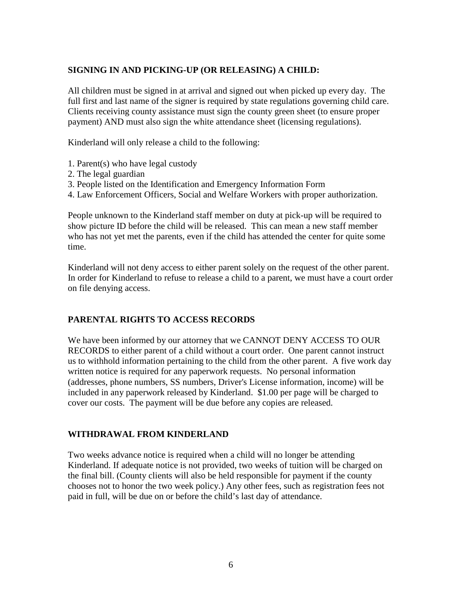### **SIGNING IN AND PICKING-UP (OR RELEASING) A CHILD:**

All children must be signed in at arrival and signed out when picked up every day. The full first and last name of the signer is required by state regulations governing child care. Clients receiving county assistance must sign the county green sheet (to ensure proper payment) AND must also sign the white attendance sheet (licensing regulations).

Kinderland will only release a child to the following:

- 1. Parent(s) who have legal custody
- 2. The legal guardian
- 3. People listed on the Identification and Emergency Information Form
- 4. Law Enforcement Officers, Social and Welfare Workers with proper authorization.

People unknown to the Kinderland staff member on duty at pick-up will be required to show picture ID before the child will be released. This can mean a new staff member who has not yet met the parents, even if the child has attended the center for quite some time.

Kinderland will not deny access to either parent solely on the request of the other parent. In order for Kinderland to refuse to release a child to a parent, we must have a court order on file denying access.

# **PARENTAL RIGHTS TO ACCESS RECORDS**

We have been informed by our attorney that we CANNOT DENY ACCESS TO OUR RECORDS to either parent of a child without a court order. One parent cannot instruct us to withhold information pertaining to the child from the other parent. A five work day written notice is required for any paperwork requests. No personal information (addresses, phone numbers, SS numbers, Driver's License information, income) will be included in any paperwork released by Kinderland. \$1.00 per page will be charged to cover our costs. The payment will be due before any copies are released.

### **WITHDRAWAL FROM KINDERLAND**

Two weeks advance notice is required when a child will no longer be attending Kinderland. If adequate notice is not provided, two weeks of tuition will be charged on the final bill. (County clients will also be held responsible for payment if the county chooses not to honor the two week policy.) Any other fees, such as registration fees not paid in full, will be due on or before the child's last day of attendance.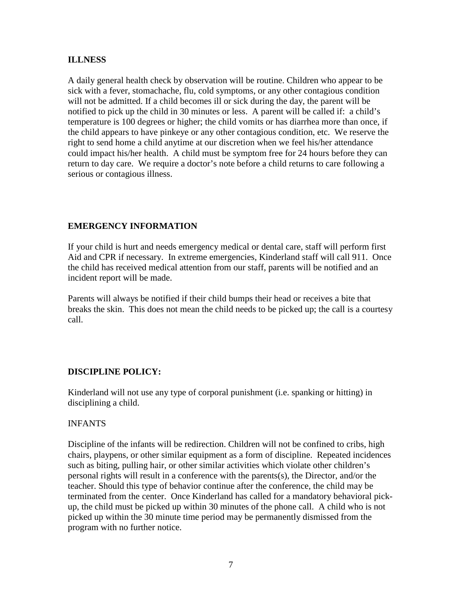### **ILLNESS**

A daily general health check by observation will be routine. Children who appear to be sick with a fever, stomachache, flu, cold symptoms, or any other contagious condition will not be admitted. If a child becomes ill or sick during the day, the parent will be notified to pick up the child in 30 minutes or less. A parent will be called if: a child's temperature is 100 degrees or higher; the child vomits or has diarrhea more than once, if the child appears to have pinkeye or any other contagious condition, etc. We reserve the right to send home a child anytime at our discretion when we feel his/her attendance could impact his/her health. A child must be symptom free for 24 hours before they can return to day care. We require a doctor's note before a child returns to care following a serious or contagious illness.

# **EMERGENCY INFORMATION**

If your child is hurt and needs emergency medical or dental care, staff will perform first Aid and CPR if necessary. In extreme emergencies, Kinderland staff will call 911. Once the child has received medical attention from our staff, parents will be notified and an incident report will be made.

Parents will always be notified if their child bumps their head or receives a bite that breaks the skin. This does not mean the child needs to be picked up; the call is a courtesy call.

# **DISCIPLINE POLICY:**

Kinderland will not use any type of corporal punishment (i.e. spanking or hitting) in disciplining a child.

### INFANTS

Discipline of the infants will be redirection. Children will not be confined to cribs, high chairs, playpens, or other similar equipment as a form of discipline. Repeated incidences such as biting, pulling hair, or other similar activities which violate other children's personal rights will result in a conference with the parents(s), the Director, and/or the teacher. Should this type of behavior continue after the conference, the child may be terminated from the center. Once Kinderland has called for a mandatory behavioral pickup, the child must be picked up within 30 minutes of the phone call. A child who is not picked up within the 30 minute time period may be permanently dismissed from the program with no further notice.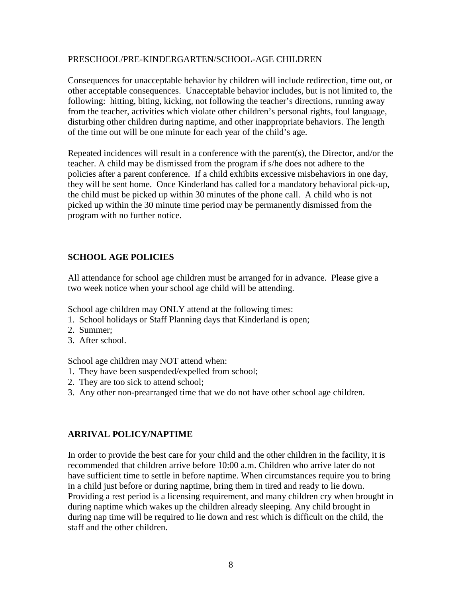#### PRESCHOOL/PRE-KINDERGARTEN/SCHOOL-AGE CHILDREN

Consequences for unacceptable behavior by children will include redirection, time out, or other acceptable consequences. Unacceptable behavior includes, but is not limited to, the following: hitting, biting, kicking, not following the teacher's directions, running away from the teacher, activities which violate other children's personal rights, foul language, disturbing other children during naptime, and other inappropriate behaviors. The length of the time out will be one minute for each year of the child's age.

Repeated incidences will result in a conference with the parent(s), the Director, and/or the teacher. A child may be dismissed from the program if s/he does not adhere to the policies after a parent conference. If a child exhibits excessive misbehaviors in one day, they will be sent home. Once Kinderland has called for a mandatory behavioral pick-up, the child must be picked up within 30 minutes of the phone call. A child who is not picked up within the 30 minute time period may be permanently dismissed from the program with no further notice.

# **SCHOOL AGE POLICIES**

All attendance for school age children must be arranged for in advance. Please give a two week notice when your school age child will be attending.

School age children may ONLY attend at the following times:

- 1. School holidays or Staff Planning days that Kinderland is open;
- 2. Summer;
- 3. After school.

School age children may NOT attend when:

- 1. They have been suspended/expelled from school;
- 2. They are too sick to attend school;
- 3. Any other non-prearranged time that we do not have other school age children.

### **ARRIVAL POLICY/NAPTIME**

In order to provide the best care for your child and the other children in the facility, it is recommended that children arrive before 10:00 a.m. Children who arrive later do not have sufficient time to settle in before naptime. When circumstances require you to bring in a child just before or during naptime, bring them in tired and ready to lie down. Providing a rest period is a licensing requirement, and many children cry when brought in during naptime which wakes up the children already sleeping. Any child brought in during nap time will be required to lie down and rest which is difficult on the child, the staff and the other children.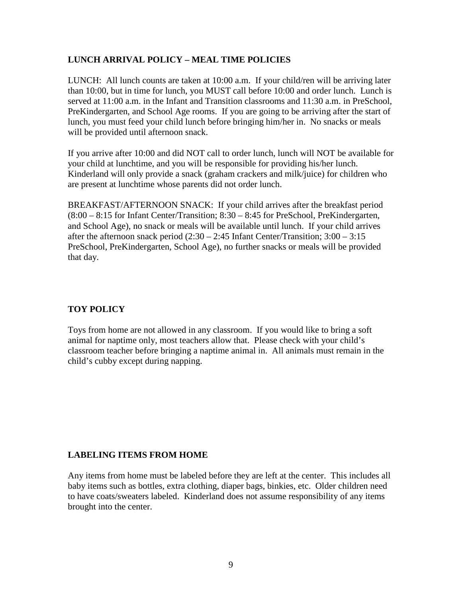# **LUNCH ARRIVAL POLICY – MEAL TIME POLICIES**

LUNCH: All lunch counts are taken at 10:00 a.m. If your child/ren will be arriving later than 10:00, but in time for lunch, you MUST call before 10:00 and order lunch. Lunch is served at 11:00 a.m. in the Infant and Transition classrooms and 11:30 a.m. in PreSchool, PreKindergarten, and School Age rooms. If you are going to be arriving after the start of lunch, you must feed your child lunch before bringing him/her in. No snacks or meals will be provided until afternoon snack.

If you arrive after 10:00 and did NOT call to order lunch, lunch will NOT be available for your child at lunchtime, and you will be responsible for providing his/her lunch. Kinderland will only provide a snack (graham crackers and milk/juice) for children who are present at lunchtime whose parents did not order lunch.

BREAKFAST/AFTERNOON SNACK: If your child arrives after the breakfast period (8:00 – 8:15 for Infant Center/Transition; 8:30 – 8:45 for PreSchool, PreKindergarten, and School Age), no snack or meals will be available until lunch. If your child arrives after the afternoon snack period (2:30 – 2:45 Infant Center/Transition; 3:00 – 3:15 PreSchool, PreKindergarten, School Age), no further snacks or meals will be provided that day.

# **TOY POLICY**

Toys from home are not allowed in any classroom. If you would like to bring a soft animal for naptime only, most teachers allow that. Please check with your child's classroom teacher before bringing a naptime animal in. All animals must remain in the child's cubby except during napping.

### **LABELING ITEMS FROM HOME**

Any items from home must be labeled before they are left at the center. This includes all baby items such as bottles, extra clothing, diaper bags, binkies, etc. Older children need to have coats/sweaters labeled. Kinderland does not assume responsibility of any items brought into the center.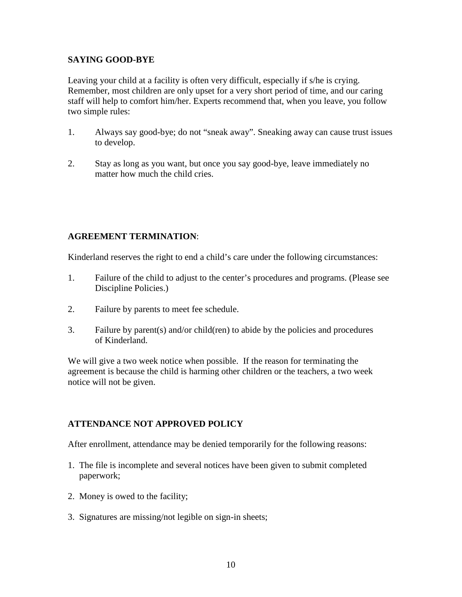### **SAYING GOOD-BYE**

Leaving your child at a facility is often very difficult, especially if s/he is crying. Remember, most children are only upset for a very short period of time, and our caring staff will help to comfort him/her. Experts recommend that, when you leave, you follow two simple rules:

- 1. Always say good-bye; do not "sneak away". Sneaking away can cause trust issues to develop.
- 2. Stay as long as you want, but once you say good-bye, leave immediately no matter how much the child cries.

# **AGREEMENT TERMINATION**:

Kinderland reserves the right to end a child's care under the following circumstances:

- 1. Failure of the child to adjust to the center's procedures and programs. (Please see Discipline Policies.)
- 2. Failure by parents to meet fee schedule.
- 3. Failure by parent(s) and/or child(ren) to abide by the policies and procedures of Kinderland.

We will give a two week notice when possible. If the reason for terminating the agreement is because the child is harming other children or the teachers, a two week notice will not be given.

# **ATTENDANCE NOT APPROVED POLICY**

After enrollment, attendance may be denied temporarily for the following reasons:

- 1. The file is incomplete and several notices have been given to submit completed paperwork;
- 2. Money is owed to the facility;
- 3. Signatures are missing/not legible on sign-in sheets;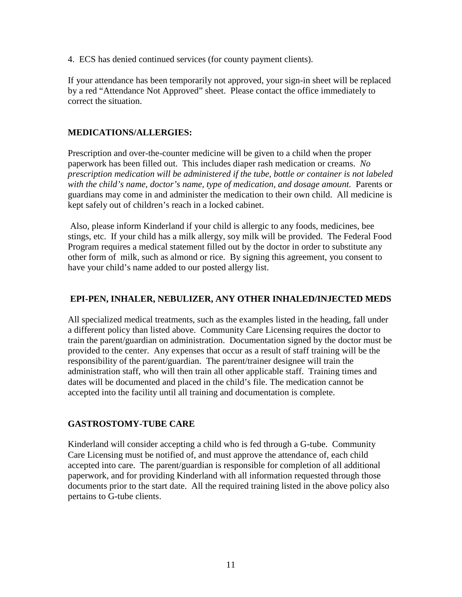4. ECS has denied continued services (for county payment clients).

If your attendance has been temporarily not approved, your sign-in sheet will be replaced by a red "Attendance Not Approved" sheet. Please contact the office immediately to correct the situation.

### **MEDICATIONS/ALLERGIES:**

Prescription and over-the-counter medicine will be given to a child when the proper paperwork has been filled out. This includes diaper rash medication or creams. *No prescription medication will be administered if the tube, bottle or container is not labeled*  with the child's name, doctor's name, type of medication, and dosage amount. Parents or guardians may come in and administer the medication to their own child. All medicine is kept safely out of children's reach in a locked cabinet.

 Also, please inform Kinderland if your child is allergic to any foods, medicines, bee stings, etc. If your child has a milk allergy, soy milk will be provided. The Federal Food Program requires a medical statement filled out by the doctor in order to substitute any other form of milk, such as almond or rice. By signing this agreement, you consent to have your child's name added to our posted allergy list.

## **EPI-PEN, INHALER, NEBULIZER, ANY OTHER INHALED/INJECTED MEDS**

All specialized medical treatments, such as the examples listed in the heading, fall under a different policy than listed above. Community Care Licensing requires the doctor to train the parent/guardian on administration. Documentation signed by the doctor must be provided to the center. Any expenses that occur as a result of staff training will be the responsibility of the parent/guardian. The parent/trainer designee will train the administration staff, who will then train all other applicable staff. Training times and dates will be documented and placed in the child's file. The medication cannot be accepted into the facility until all training and documentation is complete.

### **GASTROSTOMY-TUBE CARE**

Kinderland will consider accepting a child who is fed through a G-tube. Community Care Licensing must be notified of, and must approve the attendance of, each child accepted into care. The parent/guardian is responsible for completion of all additional paperwork, and for providing Kinderland with all information requested through those documents prior to the start date. All the required training listed in the above policy also pertains to G-tube clients.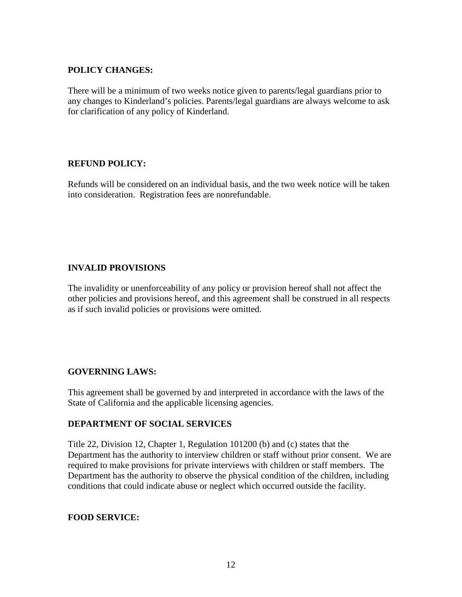## **POLICY CHANGES:**

There will be a minimum of two weeks notice given to parents/legal guardians prior to any changes to Kinderland's policies. Parents/legal guardians are always welcome to ask for clarification of any policy of Kinderland.

# **REFUND POLICY:**

Refunds will be considered on an individual basis, and the two week notice will be taken into consideration. Registration fees are nonrefundable.

# **INVALID PROVISIONS**

The invalidity or unenforceability of any policy or provision hereof shall not affect the other policies and provisions hereof, and this agreement shall be construed in all respects as if such invalid policies or provisions were omitted.

# **GOVERNING LAWS:**

This agreement shall be governed by and interpreted in accordance with the laws of the State of California and the applicable licensing agencies.

### **DEPARTMENT OF SOCIAL SERVICES**

Title 22, Division 12, Chapter 1, Regulation 101200 (b) and (c) states that the Department has the authority to interview children or staff without prior consent. We are required to make provisions for private interviews with children or staff members. The Department has the authority to observe the physical condition of the children, including conditions that could indicate abuse or neglect which occurred outside the facility.

### **FOOD SERVICE:**